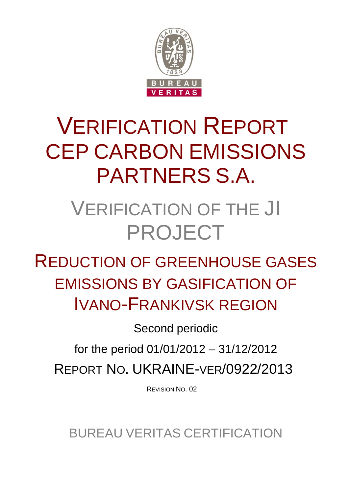

# VERIFICATION REPORT CEP CARBON EMISSIONS PARTNERS S.A.

# VERIFICATION OF THE JI PROJECT

REDUCTION OF GREENHOUSE GASES EMISSIONS BY GASIFICATION OF IVANO-FRANKIVSK REGION

Second periodic

for the period 01/01/2012 – 31/12/2012 REPORT NO. UKRAINE-VER/0922/2013

REVISION NO. 02

BUREAU VERITAS CERTIFICATION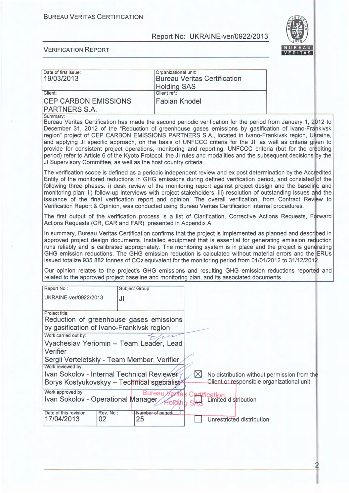

| Date of first issue:                                                                                                                                                                                                                                |                                             | Organizational unit:   |             |                                           |                                                                                                                                                                                                                                                                                                                                                                                                                                                                                                                                                                                                                                                                                                                                                                                                                                                                                                                                                                                                                                                                                                                                                                                                                                                                                                                                                                                                                                                                                                     |  |
|-----------------------------------------------------------------------------------------------------------------------------------------------------------------------------------------------------------------------------------------------------|---------------------------------------------|------------------------|-------------|-------------------------------------------|-----------------------------------------------------------------------------------------------------------------------------------------------------------------------------------------------------------------------------------------------------------------------------------------------------------------------------------------------------------------------------------------------------------------------------------------------------------------------------------------------------------------------------------------------------------------------------------------------------------------------------------------------------------------------------------------------------------------------------------------------------------------------------------------------------------------------------------------------------------------------------------------------------------------------------------------------------------------------------------------------------------------------------------------------------------------------------------------------------------------------------------------------------------------------------------------------------------------------------------------------------------------------------------------------------------------------------------------------------------------------------------------------------------------------------------------------------------------------------------------------------|--|
| 19/03/2013                                                                                                                                                                                                                                          |                                             |                        |             | <b>Bureau Veritas Certification</b>       |                                                                                                                                                                                                                                                                                                                                                                                                                                                                                                                                                                                                                                                                                                                                                                                                                                                                                                                                                                                                                                                                                                                                                                                                                                                                                                                                                                                                                                                                                                     |  |
|                                                                                                                                                                                                                                                     |                                             | <b>Holding SAS</b>     |             |                                           |                                                                                                                                                                                                                                                                                                                                                                                                                                                                                                                                                                                                                                                                                                                                                                                                                                                                                                                                                                                                                                                                                                                                                                                                                                                                                                                                                                                                                                                                                                     |  |
| Client:                                                                                                                                                                                                                                             |                                             | Client ref.:           |             |                                           |                                                                                                                                                                                                                                                                                                                                                                                                                                                                                                                                                                                                                                                                                                                                                                                                                                                                                                                                                                                                                                                                                                                                                                                                                                                                                                                                                                                                                                                                                                     |  |
| <b>CEP CARBON EMISSIONS</b>                                                                                                                                                                                                                         |                                             | <b>Fabian Knodel</b>   |             |                                           |                                                                                                                                                                                                                                                                                                                                                                                                                                                                                                                                                                                                                                                                                                                                                                                                                                                                                                                                                                                                                                                                                                                                                                                                                                                                                                                                                                                                                                                                                                     |  |
| <b>PARTNERS S.A.</b>                                                                                                                                                                                                                                |                                             |                        |             |                                           |                                                                                                                                                                                                                                                                                                                                                                                                                                                                                                                                                                                                                                                                                                                                                                                                                                                                                                                                                                                                                                                                                                                                                                                                                                                                                                                                                                                                                                                                                                     |  |
| Summary:<br>JI Supervisory Committee, as well as the host country criteria.<br>Verification Report & Opinion, was conducted using Bureau Veritas Certification internal procedures.<br>Actions Requests (CR, CAR and FAR), presented in Appendix A. |                                             |                        |             |                                           | Bureau Veritas Certification has made the second periodic verification for the period from January 1, 2012 to<br>December 31, 2012 of the "Reduction of greenhouse gases emissions by gasification of Ivano-Frankivsk<br>region" project of CEP CARBON EMISSIONS PARTNERS S.A., located in Ivano-Frankivsk region, Ukraine,<br>and applying JI specific approach, on the basis of UNFCCC criteria for the JI, as well as criteria given to<br>provide for consistent project operations, monitoring and reporting. UNFCCC criteria (but for the crediting<br>period) refer to Article 6 of the Kyoto Protocol, the JI rules and modalities and the subsequent decisions by the<br>The verification scope is defined as a periodic independent review and ex post determination by the Accredited<br>Entity of the monitored reductions in GHG emissions during defined verification period, and consisted of the<br>following three phases: i) desk review of the monitoring report against project design and the baseline and<br>monitoring plan; ii) follow-up interviews with project stakeholders; iii) resolution of outstanding issues and the<br>issuance of the final verification report and opinion. The overall verification, from Contract Review to<br>The first output of the verification process is a list of Clarification, Corrective Actions Requests, Forward<br>In summary, Bureau Veritas Certification confirms that the project is implemented as planned and described in |  |
| related to the approved project baseline and monitoring plan, and its associated documents.                                                                                                                                                         |                                             |                        |             |                                           | approved project design documents. Installed equipment that is essential for generating emission reduction<br>runs reliably and is calibrated appropriately. The monitoring system is in place and the project is generating<br>GHG emission reductions. The GHG emission reduction is calculated without material errors and the ERUs<br>issued totalize 935 882 tonnes of CO2 equivalent for the monitoring period from 01/01/2012 to 31/12/2012.<br>Our opinion relates to the project's GHG emissions and resulting GHG emission reductions reported and                                                                                                                                                                                                                                                                                                                                                                                                                                                                                                                                                                                                                                                                                                                                                                                                                                                                                                                                        |  |
|                                                                                                                                                                                                                                                     |                                             |                        |             |                                           |                                                                                                                                                                                                                                                                                                                                                                                                                                                                                                                                                                                                                                                                                                                                                                                                                                                                                                                                                                                                                                                                                                                                                                                                                                                                                                                                                                                                                                                                                                     |  |
| Report No.:                                                                                                                                                                                                                                         | Subject Group:                              |                        |             |                                           |                                                                                                                                                                                                                                                                                                                                                                                                                                                                                                                                                                                                                                                                                                                                                                                                                                                                                                                                                                                                                                                                                                                                                                                                                                                                                                                                                                                                                                                                                                     |  |
| UKRAINE-ver/0922/2013                                                                                                                                                                                                                               | JI                                          |                        |             |                                           |                                                                                                                                                                                                                                                                                                                                                                                                                                                                                                                                                                                                                                                                                                                                                                                                                                                                                                                                                                                                                                                                                                                                                                                                                                                                                                                                                                                                                                                                                                     |  |
|                                                                                                                                                                                                                                                     |                                             |                        |             |                                           |                                                                                                                                                                                                                                                                                                                                                                                                                                                                                                                                                                                                                                                                                                                                                                                                                                                                                                                                                                                                                                                                                                                                                                                                                                                                                                                                                                                                                                                                                                     |  |
| Project title:                                                                                                                                                                                                                                      |                                             |                        |             |                                           |                                                                                                                                                                                                                                                                                                                                                                                                                                                                                                                                                                                                                                                                                                                                                                                                                                                                                                                                                                                                                                                                                                                                                                                                                                                                                                                                                                                                                                                                                                     |  |
| Reduction of greenhouse gases emissions                                                                                                                                                                                                             |                                             |                        |             |                                           |                                                                                                                                                                                                                                                                                                                                                                                                                                                                                                                                                                                                                                                                                                                                                                                                                                                                                                                                                                                                                                                                                                                                                                                                                                                                                                                                                                                                                                                                                                     |  |
|                                                                                                                                                                                                                                                     |                                             |                        |             |                                           |                                                                                                                                                                                                                                                                                                                                                                                                                                                                                                                                                                                                                                                                                                                                                                                                                                                                                                                                                                                                                                                                                                                                                                                                                                                                                                                                                                                                                                                                                                     |  |
| by gasification of Ivano-Frankivsk region                                                                                                                                                                                                           |                                             |                        |             |                                           |                                                                                                                                                                                                                                                                                                                                                                                                                                                                                                                                                                                                                                                                                                                                                                                                                                                                                                                                                                                                                                                                                                                                                                                                                                                                                                                                                                                                                                                                                                     |  |
| Work carried out by:                                                                                                                                                                                                                                |                                             |                        |             |                                           |                                                                                                                                                                                                                                                                                                                                                                                                                                                                                                                                                                                                                                                                                                                                                                                                                                                                                                                                                                                                                                                                                                                                                                                                                                                                                                                                                                                                                                                                                                     |  |
| Vyacheslav Yeriomin - Team Leader, Lead                                                                                                                                                                                                             |                                             |                        |             |                                           |                                                                                                                                                                                                                                                                                                                                                                                                                                                                                                                                                                                                                                                                                                                                                                                                                                                                                                                                                                                                                                                                                                                                                                                                                                                                                                                                                                                                                                                                                                     |  |
| Verifier                                                                                                                                                                                                                                            |                                             |                        |             |                                           |                                                                                                                                                                                                                                                                                                                                                                                                                                                                                                                                                                                                                                                                                                                                                                                                                                                                                                                                                                                                                                                                                                                                                                                                                                                                                                                                                                                                                                                                                                     |  |
|                                                                                                                                                                                                                                                     | Sergii Verteletskiy - Team Member, Verifier |                        |             |                                           |                                                                                                                                                                                                                                                                                                                                                                                                                                                                                                                                                                                                                                                                                                                                                                                                                                                                                                                                                                                                                                                                                                                                                                                                                                                                                                                                                                                                                                                                                                     |  |
| Work reviewed by:                                                                                                                                                                                                                                   |                                             |                        |             |                                           |                                                                                                                                                                                                                                                                                                                                                                                                                                                                                                                                                                                                                                                                                                                                                                                                                                                                                                                                                                                                                                                                                                                                                                                                                                                                                                                                                                                                                                                                                                     |  |
| Ivan Sokolov - Internal Technical Reviewer                                                                                                                                                                                                          |                                             |                        | $\boxtimes$ |                                           | No distribution without permission from the                                                                                                                                                                                                                                                                                                                                                                                                                                                                                                                                                                                                                                                                                                                                                                                                                                                                                                                                                                                                                                                                                                                                                                                                                                                                                                                                                                                                                                                         |  |
| Borys Kostyukovskyy - Technical specialist                                                                                                                                                                                                          |                                             |                        |             | Client or responsible organizational unit |                                                                                                                                                                                                                                                                                                                                                                                                                                                                                                                                                                                                                                                                                                                                                                                                                                                                                                                                                                                                                                                                                                                                                                                                                                                                                                                                                                                                                                                                                                     |  |
| Work approved by:                                                                                                                                                                                                                                   |                                             |                        |             |                                           |                                                                                                                                                                                                                                                                                                                                                                                                                                                                                                                                                                                                                                                                                                                                                                                                                                                                                                                                                                                                                                                                                                                                                                                                                                                                                                                                                                                                                                                                                                     |  |
| Ivan Sokolov - Operational Manager                                                                                                                                                                                                                  |                                             | Bureau,                |             | Certification<br>Limited distribution     |                                                                                                                                                                                                                                                                                                                                                                                                                                                                                                                                                                                                                                                                                                                                                                                                                                                                                                                                                                                                                                                                                                                                                                                                                                                                                                                                                                                                                                                                                                     |  |
| Date of this revision:<br>17/04/2013                                                                                                                                                                                                                | Rev. No.:<br>02                             | Number of pages:<br>25 |             | Unrestricted distribution                 |                                                                                                                                                                                                                                                                                                                                                                                                                                                                                                                                                                                                                                                                                                                                                                                                                                                                                                                                                                                                                                                                                                                                                                                                                                                                                                                                                                                                                                                                                                     |  |
|                                                                                                                                                                                                                                                     |                                             |                        |             |                                           |                                                                                                                                                                                                                                                                                                                                                                                                                                                                                                                                                                                                                                                                                                                                                                                                                                                                                                                                                                                                                                                                                                                                                                                                                                                                                                                                                                                                                                                                                                     |  |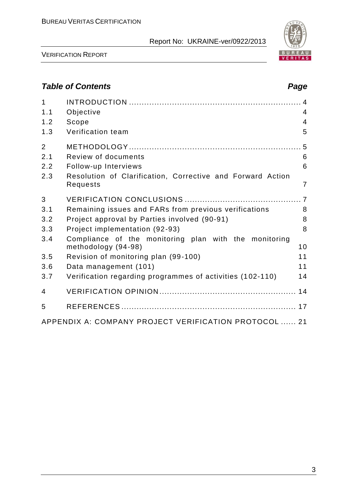

VERIFICATION REPORT

# *Table of Contents Page*

| $\mathbf{1}$<br>1.1 | Objective                                                                    | $\overline{4}$ |
|---------------------|------------------------------------------------------------------------------|----------------|
| 1.2                 | Scope                                                                        | $\overline{4}$ |
| 1.3                 | Verification team                                                            | 5              |
| $\overline{2}$      |                                                                              |                |
| 2.1                 | Review of documents                                                          | 6              |
| 2.2                 | Follow-up Interviews                                                         | 6              |
| 2.3                 | Resolution of Clarification, Corrective and Forward Action<br>Requests       | $\overline{7}$ |
| 3                   |                                                                              |                |
| 3.1                 | Remaining issues and FARs from previous verifications                        | 8              |
| 3.2                 | Project approval by Parties involved (90-91)                                 | 8              |
| 3.3                 | Project implementation (92-93)                                               | 8              |
| 3.4                 | Compliance of the monitoring plan with the monitoring<br>methodology (94-98) | 10             |
| 3.5                 | Revision of monitoring plan (99-100)                                         | 11             |
| 3.6                 | Data management (101)                                                        | 11             |
| 3.7                 | Verification regarding programmes of activities (102-110)                    | 14             |
| 4                   |                                                                              |                |
| 5                   |                                                                              |                |
|                     | APPENDIX A: COMPANY PROJECT VERIFICATION PROTOCOL  21                        |                |

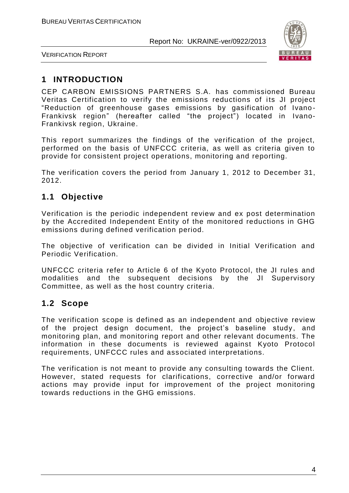

VERIFICATION REPORT

# **1 INTRODUCTION**

CEP CARBON EMISSIONS PARTNERS S.A. has commissioned Bureau Veritas Certification to verify the emissions reductions of its JI project "Reduction of greenhouse gases emissions by gasification of Ivano - Frankivsk region" (hereafter called "the project") located in Ivano-Frankivsk region, Ukraine.

This report summarizes the findings of the verification of the project, performed on the basis of UNFCCC criteria, as well as criteria given to provide for consistent project operations, monitoring and reporting.

The verification covers the period from January 1, 2012 to December 31, 2012.

# **1.1 Objective**

Verification is the periodic independent review and ex post determination by the Accredited Independent Entity of the monitored reductions in GHG emissions during defined verification period.

The objective of verification can be divided in Initial Verification and Periodic Verification.

UNFCCC criteria refer to Article 6 of the Kyoto Protocol, the JI rules and modalities and the subsequent decisions by the JI Supervisory Committee, as well as the host country criteria.

# **1.2 Scope**

The verification scope is defined as an independent and objective review of the project design document, the project's baseline study, and monitoring plan, and monitoring report and other relevant documents. The information in these documents is reviewed against Kyoto Protocol requirements, UNFCCC rules and associated interpretations.

The verification is not meant to provide any consulting towards the Client. However, stated requests for clarifications, corrective and/or forward actions may provide input for improvement of the project monitoring towards reductions in the GHG emissions.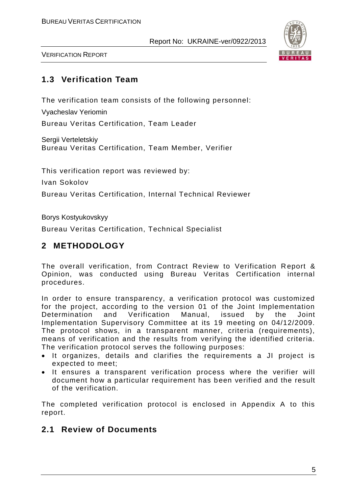

VERIFICATION REPORT

# **1.3 Verification Team**

The verification team consists of the following personnel:

Vyacheslav Yeriomin

Bureau Veritas Certification, Team Leader

Sergii Verteletskiy Bureau Veritas Certification, Team Member, Verifier

This verification report was reviewed by:

Ivan Sokolov

Bureau Veritas Certification, Internal Technical Reviewer

Borys Kostyukovskyy

Bureau Veritas Certification, Technical Specialist

# **2 METHODOLOGY**

The overall verification, from Contract Review to Verification Report & Opinion, was conducted using Bureau Veritas Certification internal procedures.

In order to ensure transparency, a verification protocol was customized for the project, according to the version 01 of the Joint Implementation Determination and Verification Manual, issued by the Joint Implementation Supervisory Committee at its 19 meeting on 04/12/2009. The protocol shows, in a transparent manner, criteria (requirements), means of verification and the results from verifying the identified criteria. The verification protocol serves the following purposes:

- It organizes, details and clarifies the requirements a JI project is expected to meet;
- It ensures a transparent verification process where the verifier will document how a particular requirement has been verified and the result of the verification.

The completed verification protocol is enclosed in Appendix A to this report.

# **2.1 Review of Documents**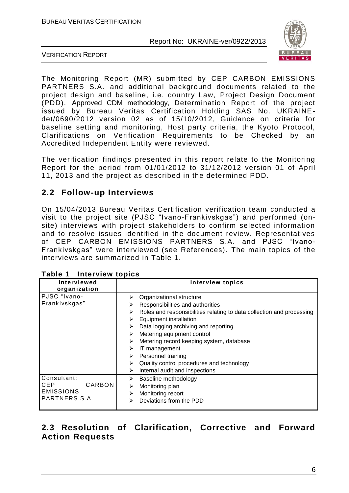

VERIFICATION REPORT

The Monitoring Report (MR) submitted by CEP CARBON EMISSIONS PARTNERS S.A. and additional background documents related to the project design and baseline, i.e. country Law, Project Design Document (PDD), Approved CDM methodology, Determination Report of the project issued by Bureau Veritas Certification Holding SAS No. UKRAINEdet/0690/2012 version 02 as of 15/10/2012, Guidance on criteria for baseline setting and monitoring, Host party criteria, the Kyoto Protocol, Clarifications on Verification Requirements to be Checked by an Accredited Independent Entity were reviewed.

The verification findings presented in this report relate to the Monitoring Report for the period from 01/01/2012 to 31/12/2012 version 01 of April 11, 2013 and the project as described in the determined PDD.

# **2.2 Follow-up Interviews**

On 15/04/2013 Bureau Veritas Certification verification team conducted a visit to the project site (PJSC "Ivano-Frankivskgas") and performed (onsite) interviews with project stakeholders to confirm selected information and to resolve issues identified in the document review. Representatives of CEP CARBON EMISSIONS PARTNERS S.A. and PJSC "Ivano-Frankivskgas" were interviewed (see References). The main topics of the interviews are summarized in Table 1.

| <b>Interviewed</b>                                                       | <b>Interview topics</b>                                                                                                                                                                                                                                                                                                                                                                                                                                        |
|--------------------------------------------------------------------------|----------------------------------------------------------------------------------------------------------------------------------------------------------------------------------------------------------------------------------------------------------------------------------------------------------------------------------------------------------------------------------------------------------------------------------------------------------------|
| organization                                                             |                                                                                                                                                                                                                                                                                                                                                                                                                                                                |
| PJSC "Ivano-<br>Frankivskgas"                                            | Organizational structure<br>⋗<br>Responsibilities and authorities<br>⋗<br>Roles and responsibilities relating to data collection and processing<br>⋗<br>Equipment installation<br>⋗<br>Data logging archiving and reporting<br>⋗<br>Metering equipment control<br>⋗<br>Metering record keeping system, database<br>⋗<br>IT management<br>⋗<br>Personnel training<br>➤<br>Quality control procedures and technology<br>⋗<br>Internal audit and inspections<br>➤ |
| Consultant:<br>CARBON<br><b>CEP</b><br><b>EMISSIONS</b><br>PARTNERS S.A. | Baseline methodology<br>➤<br>Monitoring plan<br>➤<br>Monitoring report<br>⋗<br>Deviations from the PDD<br>⋗                                                                                                                                                                                                                                                                                                                                                    |

# **2.3 Resolution of Clarification, Corrective and Forward Action Requests**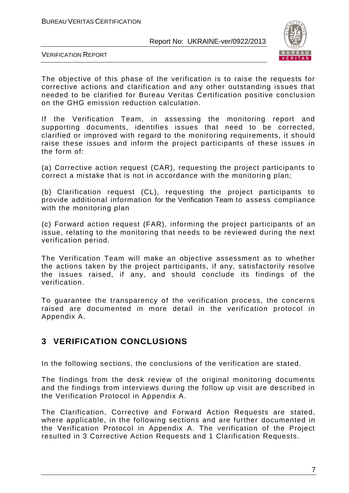

VERIFICATION REPORT

The objective of this phase of the verification is to raise the requests for corrective actions and clarification and any other outstanding issues that needed to be clarified for Bureau Veritas Certification positive conclusion on the GHG emission reduction calculation.

If the Verification Team, in assessing the monitoring report and supporting documents, identifies issues that need to be corrected, clarified or improved with regard to the monitoring requirements, it should raise these issues and inform the project participants of these issues in the form of:

(a) Corrective action request (CAR), requesting the project participants to correct a mistake that is not in accordance with the monitoring plan;

(b) Clarification request (CL), requesting the project participants to provide additional information for the Verification Team to assess compliance with the monitoring plan

(c) Forward action request (FAR), informing the project participants of an issue, relating to the monitoring that needs to be reviewed during the next verification period.

The Verification Team will make an objective assessment as to whether the actions taken by the project participants, if any, satisfactorily resolve the issues raised, if any, and should conclude its findings of the verification.

To guarantee the transparency of the verification process, the concerns raised are documented in more detail in the verification protocol in Appendix A.

# **3 VERIFICATION CONCLUSIONS**

In the following sections, the conclusions of the verification are stated.

The findings from the desk review of the original monitoring documents and the findings from interviews during the follow up visit are described in the Verification Protocol in Appendix A.

The Clarification, Corrective and Forward Action Requests are stated, where applicable, in the following sections and are further documented in the Verification Protocol in Appendix A. The verification of the Project resulted in 3 Corrective Action Requests and 1 Clarification Requests.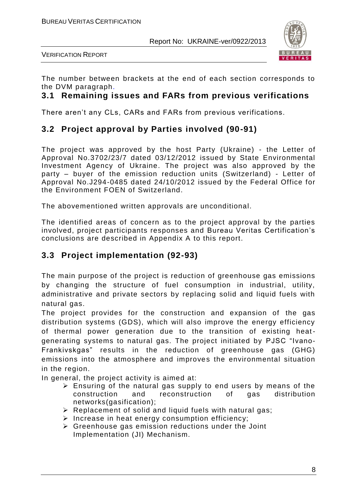

VERIFICATION REPORT

The number between brackets at the end of each section corresponds to the DVM paragraph.

## **3.1 Remaining issues and FARs from previous verifications**

There aren't any CLs, CARs and FARs from previous verifications.

# **3.2 Project approval by Parties involved (90-91)**

The project was approved by the host Party (Ukraine) - the Letter of Approval No.3702/23/7 dated 03/12/2012 issued by State Environmental Investment Agency of Ukraine. The project was also approved by the party – buyer of the emission reduction units (Switzerland) - Letter of Approval No.J294-0485 dated 24/10/2012 issued by the Federal Office for the Environment FOEN of Switzerland.

The abovementioned written approvals are unconditional.

The identified areas of concern as to the project approval by the parties involved, project participants responses and Bureau Veritas Certification's conclusions are described in Appendix A to this report.

# **3.3 Project implementation (92-93)**

The main purpose of the project is reduction of greenhouse gas emissions by changing the structure of fuel consumption in industrial, utility, administrative and private sectors by replacing solid and liquid fuels with natural gas.

The project provides for the construction and expansion of the gas distribution systems (GDS), which will also improve the energy efficiency of thermal power generation due to the transition of existing heatgenerating systems to natural gas. The project initiated by PJSC "Ivano-Frankivskgas" results in the reduction of greenhouse gas (GHG) emissions into the atmosphere and improves the environmental situation in the region.

In general, the project activity is aimed at:

- $\triangleright$  Ensuring of the natural gas supply to end users by means of the construction and reconstruction of gas distribution networks(gasification);
- $\triangleright$  Replacement of solid and liquid fuels with natural gas;
- $\triangleright$  Increase in heat energy consumption efficiency;
- $\triangleright$  Greenhouse gas emission reductions under the Joint Implementation (JI) Mechanism.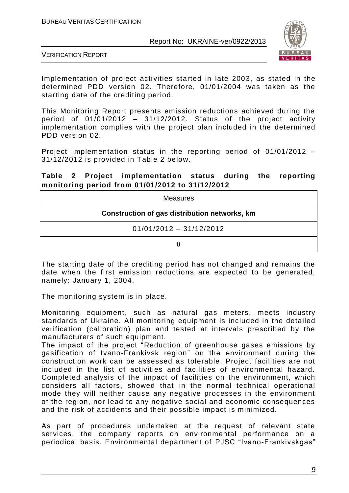

VERIFICATION REPORT

Implementation of project activities started in late 2003, as stated in the determined PDD version 02. Therefore, 01/01/2004 was taken as the starting date of the crediting period.

This Monitoring Report presents emission reductions achieved during the period of 01/01/2012 – 31/12/2012. Status of the project activity implementation complies with the project plan included in the determined PDD version 02.

Project implementation status in the reporting period of 01/01/2012 – 31/12/2012 is provided in Table 2 below.

#### **Table 2 Project implementation status during the reporting monitoring period from 01/01/2012 to 31/12/2012**

| <b>Measures</b>                               |
|-----------------------------------------------|
| Construction of gas distribution networks, km |
| $01/01/2012 - 31/12/2012$                     |
|                                               |

The starting date of the crediting period has not changed and remains the date when the first emission reductions are expected to be generated, namely: January 1, 2004.

The monitoring system is in place.

Monitoring equipment, such as natural gas meters, meets industry standards of Ukraine. All monitoring equipment is included in the detailed verification (calibration) plan and tested at intervals prescribed by the manufacturers of such equipment.

The impact of the project "Reduction of greenhouse gases emissions by gasification of Ivano-Frankivsk region" on the environment during the construction work can be assessed as tolerable. Project facilities are not included in the list of activities and facilities of environmental hazard. Completed analysis of the impact of facilities on the environment, which considers all factors, showed that in the normal technical operational mode they will neither cause any negative processes in the environment of the region, nor lead to any negative social and economic consequences and the risk of accidents and their possible impact is minimized.

As part of procedures undertaken at the request of relevant state services, the company reports on environmental performance on a periodical basis. Environmental department of PJSC "Ivano-Frankivskgas"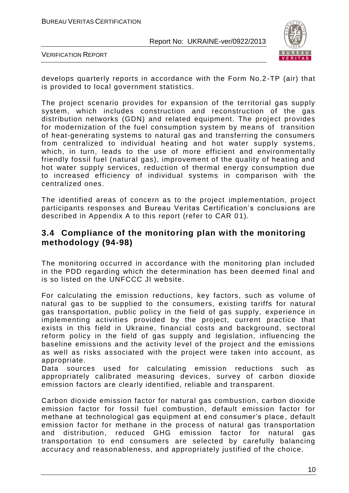

VERIFICATION REPORT

develops quarterly reports in accordance with the Form No.2 -TP (air) that is provided to local government statistics.

The project scenario provides for expansion of the territorial gas supply system, which includes construction and reconstruction of the gas distribution networks (GDN) and related equipment. The project provides for modernization of the fuel consumption system by means of transition of heat-generating systems to natural gas and transferring the consumers from centralized to individual heating and hot water supply systems, which, in turn, leads to the use of more efficient and environmentally friendly fossil fuel (natural gas), improvement of the quality of heating and hot water supply services, reduction of thermal energy consumption due to increased efficiency of individual systems in comparison with the centralized ones.

The identified areas of concern as to the project implementation, project participants responses and Bureau Veritas Certification's conclusions are described in Appendix A to this report (refer to CAR 01).

# **3.4 Compliance of the monitoring plan with the monitoring methodology (94-98)**

The monitoring occurred in accordance with the monitoring plan included in the PDD regarding which the determination has been deemed final and is so listed on the UNFCCC JI website.

For calculating the emission reductions, key factors, such as volume of natural gas to be supplied to the consumers, existing tariffs for natural gas transportation, public policy in the field of gas supply, experience in implementing activities provided by the project, current practice that exists in this field in Ukraine, financial costs and background, sectoral reform policy in the field of gas supply and legislation, influencing the baseline emissions and the activity level of the project and the emissions as well as risks associated with the project were taken into account, as appropriate.

Data sources used for calculating emission reductions such as appropriately calibrated measuring devices, survey of carbon dioxide emission factors are clearly identified, reliable and transparent.

Carbon dioxide emission factor for natural gas combustion, carbon dioxide emission factor for fossil fuel combustion, default emission factor for methane at technological gas equipment at end consumer's place , default emission factor for methane in the process of natural gas transportation and distribution, reduced GHG emission factor for natural gas transportation to end consumers are selected by carefully balancing accuracy and reasonableness, and appropriately justified of the choice.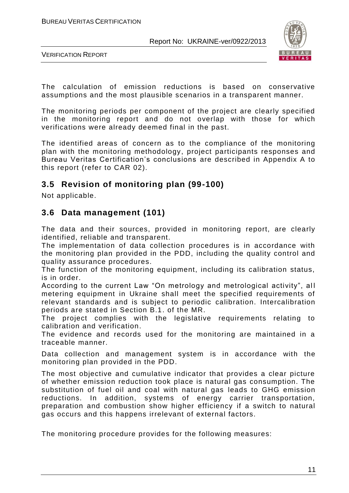

VERIFICATION REPORT

The calculation of emission reductions is based on conservative assumptions and the most plausible scenarios in a transparent manner.

The monitoring periods per component of the project are clearly specified in the monitoring report and do not overlap with those for which verifications were already deemed final in the past.

The identified areas of concern as to the compliance of the monitoring plan with the monitoring methodology, project participants responses and Bureau Veritas Certification's conclusions are described in Appendix A to this report (refer to CAR 02).

# **3.5 Revision of monitoring plan (99-100)**

Not applicable.

# **3.6 Data management (101)**

The data and their sources, provided in monitoring report, are clearly identified, reliable and transparent.

The implementation of data collection procedures is in accordance with the monitoring plan provided in the PDD, including the quality control and quality assurance procedures.

The function of the monitoring equipment, including its calibration status, is in order.

According to the current Law "On metrology and metrological activity", all metering equipment in Ukraine shall meet the specified requirements of relevant standards and is subject to periodic calibration. Intercalibration periods are stated in Section B.1. of the MR.

The project complies with the legislative requirements relating to calibration and verification.

The evidence and records used for the monitoring are maintained in a traceable manner.

Data collection and management system is in accordance with the monitoring plan provided in the PDD.

The most objective and cumulative indicator that provides a clear picture of whether emission reduction took place is natural gas consumption. The substitution of fuel oil and coal with natural gas leads to GHG emission reductions. In addition, systems of energy carrier transportation, preparation and combustion show higher efficiency if a switch to natural gas occurs and this happens irrelevant of external factors.

The monitoring procedure provides for the following measures: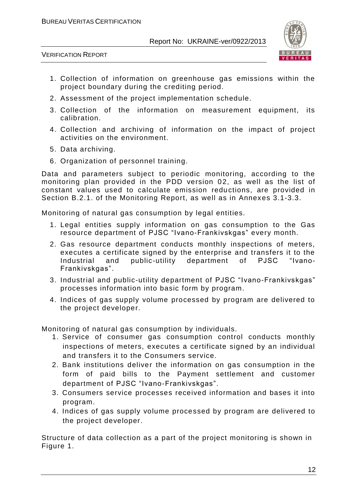

VERIFICATION REPORT

- 1. Collection of information on greenhouse gas emissions within the project boundary during the crediting period.
- 2. Assessment of the project implementation schedule.
- 3. Collection of the information on measurement equipment, its calibration.
- 4. Collection and archiving of information on the impact of project activities on the environment.
- 5. Data archiving.
- 6. Organization of personnel training.

Data and parameters subject to periodic monitoring, according to the monitoring plan provided in the PDD version 02, as well as the list of constant values used to calculate emission reductions, are provided in Section B.2.1. of the Monitoring Report, as well as in Annexes 3.1-3.3.

Monitoring of natural gas consumption by legal entities.

- 1. Legal entities supply information on gas consumption to the Gas resource department of PJSC "Ivano-Frankivskgas" every month.
- 2. Gas resource department conducts monthly inspections of meters, executes a certificate signed by the enterprise and transfers it to the Industrial and public-utility department of PJSC "Ivano-Frankivskgas".
- 3. Industrial and public-utility department of PJSC "Ivano-Frankivskgas" processes information into basic form by program.
- 4. Indices of gas supply volume processed by program are delivered to the project developer.

Monitoring of natural gas consumption by individuals.

- 1. Service of consumer gas consumption control conducts monthly inspections of meters, executes a certificate signed by an individual and transfers it to the Consumers service.
- 2. Bank institutions deliver the information on gas consumption in the form of paid bills to the Payment settlement and customer department of PJSC "Ivano-Frankivskgas".
- 3. Consumers service processes received information and bases it into program.
- 4. Indices of gas supply volume processed by program are delivered to the project developer.

Structure of data collection as a part of the project monitoring is shown in Figure 1.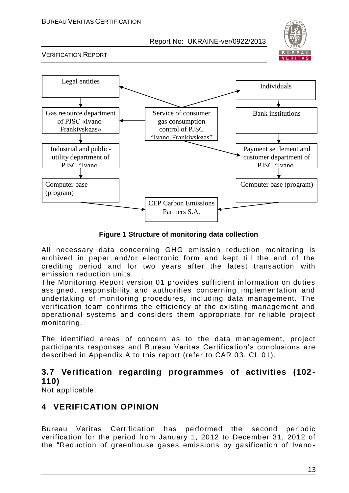

VERIFICATION REPORT



**Figure 1 Structure of monitoring data collection**

All necessary data concerning GHG emission reduction monitoring is archived in paper and/or electronic form and kept till the end of the crediting period and for two years after the latest transaction with emission reduction units.

The Monitoring Report version 01 provides sufficient information on duties assigned, responsibility and authorities concerning implementation and undertaking of monitoring procedures, including data management. The verification team confirms the efficiency of the existing management and operational systems and considers them appropriate for reliable project monitoring.

The identified areas of concern as to the data management, project participants responses and Bureau Veritas Certification's conclusions are described in Appendix A to this report (refer to CAR 03, CL 01).

# **3.7 Verification regarding programmes of activities (102- 110)**

Not applicable.

# **4 VERIFICATION OPINION**

Bureau Veritas Certification has performed the second periodic verification for the period from January 1, 2012 to December 31, 2012 of the "Reduction of greenhouse gases emissions by gasification of Ivano -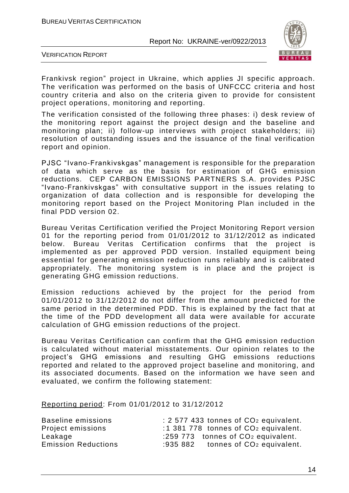

VERIFICATION REPORT

Frankivsk region" project in Ukraine, which applies JI specific approach. The verification was performed on the basis of UNFCCC criteria and host country criteria and also on the criteria given to provide for consistent project operations, monitoring and reporting.

The verification consisted of the following three phases: i) desk review of the monitoring report against the project design and the baseline and monitoring plan; ii) follow-up interviews with project stakeholders; iii) resolution of outstanding issues and the issuance of the final verification report and opinion.

PJSC "Ivano-Frankivskgas" management is responsible for the preparation of data which serve as the basis for estimation of GHG emission reductions. CEP CARBON EMISSIONS PARTNERS S.A. provides PJSC "Ivano-Frankivskgas" with consultative support in the issues relating to organization of data collection and is responsible for developing the monitoring report based on the Project Monitoring Plan included in the final PDD version 02.

Bureau Veritas Certification verified the Project Monitoring Report version 01 for the reporting period from 01/01/2012 to 31/12/2012 as indicated below. Bureau Veritas Certification confirms that the project is implemented as per approved PDD version. Installed equipment being essential for generating emission reduction runs reliably and is calibrated appropriately. The monitoring system is in place and the project is generating GHG emission reductions.

Emission reductions achieved by the project for the period from 01/01/2012 to 31/12/2012 do not differ from the amount predicted for the same period in the determined PDD. This is explained by the fact that at the time of the PDD development all data were available for accurate calculation of GHG emission reductions of the project.

Bureau Veritas Certification can confirm that the GHG emission reduction is calculated without material misstatements. Our opinion relates to the project's GHG emissions and resulting GHG emissions reductions reported and related to the approved project baseline and monitoring, and its associated documents. Based on the information we have seen and evaluated, we confirm the following statement:

Reporting period: From 01/01/2012 to 31/12/2012

| Baseline emissions         | : 2 577 433 tonnes of CO <sub>2</sub> equivalent. |
|----------------------------|---------------------------------------------------|
| Project emissions          | :1 381 778 tonnes of $CO2$ equivalent.            |
| Leakage                    | :259 773 tonnes of CO <sub>2</sub> equivalent.    |
| <b>Emission Reductions</b> | :935 882 tonnes of $CO2$ equivalent.              |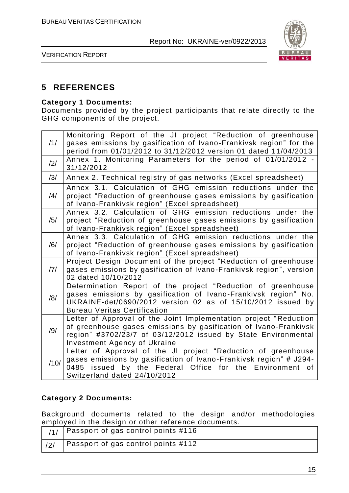

VERIFICATION REPORT

# **5 REFERENCES**

#### **Category 1 Documents:**

Documents provided by the project participants that relate directly to the GHG components of the project.

| /1/  | Monitoring Report of the JI project "Reduction of greenhouse<br>gases emissions by gasification of Ivano-Frankivsk region" for the<br>period from 01/01/2012 to 31/12/2012 version 01 dated 11/04/2013                                         |
|------|------------------------------------------------------------------------------------------------------------------------------------------------------------------------------------------------------------------------------------------------|
| /2/  | Annex 1. Monitoring Parameters for the period of 01/01/2012 -<br>31/12/2012                                                                                                                                                                    |
| /3/  | Annex 2. Technical registry of gas networks (Excel spreadsheet)                                                                                                                                                                                |
| /4/  | Annex 3.1. Calculation of GHG emission reductions under the<br>project "Reduction of greenhouse gases emissions by gasification<br>of Ivano-Frankivsk region" (Excel spreadsheet)                                                              |
| /5/  | Annex 3.2. Calculation of GHG emission reductions under the<br>project "Reduction of greenhouse gases emissions by gasification<br>of Ivano-Frankivsk region" (Excel spreadsheet)                                                              |
| /6/  | Annex 3.3. Calculation of GHG emission reductions under the<br>project "Reduction of greenhouse gases emissions by gasification<br>of Ivano-Frankivsk region" (Excel spreadsheet)                                                              |
| 7    | Project Design Document of the project "Reduction of greenhouse<br>gases emissions by gasification of Ivano-Frankivsk region", version<br>02 dated 10/10/2012                                                                                  |
| /8/  | Determination Report of the project "Reduction of greenhouse<br>gases emissions by gasification of Ivano-Frankivsk region" No.<br>UKRAINE-det/0690/2012 version 02 as of 15/10/2012 issued by<br><b>Bureau Veritas Certification</b>           |
| /9/  | Letter of Approval of the Joint Implementation project "Reduction<br>of greenhouse gases emissions by gasification of Ivano-Frankivsk<br>region" #3702/23/7 of 03/12/2012 issued by State Environmental<br><b>Investment Agency of Ukraine</b> |
| /10/ | Letter of Approval of the JI project "Reduction of greenhouse<br>gases emissions by gasification of Ivano-Frankivsk region" # J294-<br>by the Federal Office for the Environment of<br>0485<br>issued<br>Switzerland dated 24/10/2012          |

#### **Category 2 Documents:**

Background documents related to the design and/or methodologies employed in the design or other reference documents.

| $\vert$ /1/   Passport of gas control points #116 |
|---------------------------------------------------|
| Passport of gas control points #112               |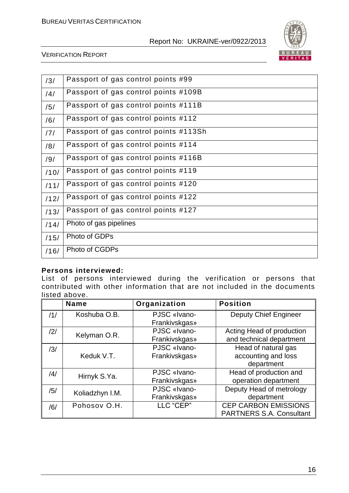

#### VERIFICATION REPORT

| /3/  | Passport of gas control points #99    |
|------|---------------------------------------|
| /4/  | Passport of gas control points #109B  |
| /5/  | Passport of gas control points #111B  |
| /6/  | Passport of gas control points #112   |
| /7/  | Passport of gas control points #113Sh |
| /8/  | Passport of gas control points #114   |
| /9/  | Passport of gas control points #116B  |
| /10/ | Passport of gas control points #119   |
| /11/ | Passport of gas control points #120   |
| /12/ | Passport of gas control points #122   |
| /13/ | Passport of gas control points #127   |
| /14/ | Photo of gas pipelines                |
| /15/ | Photo of GDPs                         |
| /16/ | Photo of CGDPs                        |
|      |                                       |

#### **Persons interviewed:**

List of persons interviewed during the verification or persons that contributed with other information that are not included in the documents listed above.

|     | <b>Name</b>     | Organization  | <b>Position</b>                 |
|-----|-----------------|---------------|---------------------------------|
| /1/ | Koshuba O.B.    | PJSC «Ivano-  | <b>Deputy Chief Engineer</b>    |
|     |                 | Frankivskgas» |                                 |
| /2/ | Kelyman O.R.    | PJSC «Ivano-  | Acting Head of production       |
|     |                 | Frankivskgas» | and technical department        |
| /3/ |                 | PJSC «Ivano-  | Head of natural gas             |
|     | Keduk V.T.      | Frankivskgas» | accounting and loss             |
|     |                 |               | department                      |
| /4/ | Hirnyk S.Ya.    | PJSC «Ivano-  | Head of production and          |
|     |                 | Frankivskgas» | operation department            |
| /5/ | Koliadzhyn I.M. | PJSC «Ivano-  | Deputy Head of metrology        |
|     |                 | Frankivskgas» | department                      |
| /6/ | Pohosov O.H.    | LLC "CEP"     | <b>CEP CARBON EMISSIONS</b>     |
|     |                 |               | <b>PARTNERS S.A. Consultant</b> |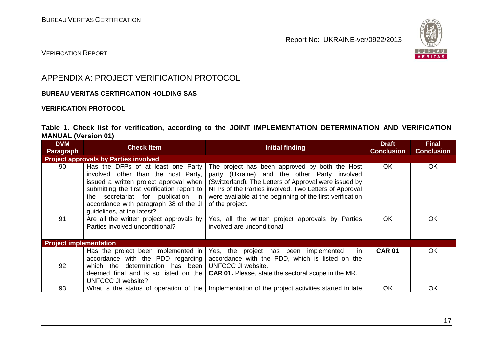

### VERIFICATION REPORT

# APPENDIX A: PROJECT VERIFICATION PROTOCOL

#### **BUREAU VERITAS CERTIFICATION HOLDING SAS**

#### **VERIFICATION PROTOCOL**

#### **Table 1. Check list for verification, according to the JOINT IMPLEMENTATION DETERMINATION AND VERIFICATION MANUAL (Version 01)**

| <b>DVM</b><br><b>Paragraph</b> | <b>Check Item</b>                                                                                                                                                                                                                                                                    | <b>Initial finding</b>                                                                                                                                                                                                                                                                           | <b>Draft</b><br><b>Conclusion</b> | <b>Final</b><br><b>Conclusion</b> |  |  |
|--------------------------------|--------------------------------------------------------------------------------------------------------------------------------------------------------------------------------------------------------------------------------------------------------------------------------------|--------------------------------------------------------------------------------------------------------------------------------------------------------------------------------------------------------------------------------------------------------------------------------------------------|-----------------------------------|-----------------------------------|--|--|
|                                | <b>Project approvals by Parties involved</b>                                                                                                                                                                                                                                         |                                                                                                                                                                                                                                                                                                  |                                   |                                   |  |  |
| 90                             | Has the DFPs of at least one Party<br>involved, other than the host Party,<br>issued a written project approval when<br>submitting the first verification report to<br>secretariat for publication in<br>the<br>accordance with paragraph 38 of the JI<br>quidelines, at the latest? | The project has been approved by both the Host<br>party (Ukraine) and the other Party involved<br>(Switzerland). The Letters of Approval were issued by<br>NFPs of the Parties involved. Two Letters of Approval<br>were available at the beginning of the first verification<br>of the project. | <b>OK</b>                         | OK                                |  |  |
| 91                             | Are all the written project approvals by<br>Parties involved unconditional?                                                                                                                                                                                                          | Yes, all the written project approvals by Parties<br>involved are unconditional.                                                                                                                                                                                                                 | <b>OK</b>                         | OK                                |  |  |
| <b>Project implementation</b>  |                                                                                                                                                                                                                                                                                      |                                                                                                                                                                                                                                                                                                  |                                   |                                   |  |  |
| 92                             | Has the project been implemented in<br>accordance with the PDD regarding<br>which the determination has been UNFCCC JI website.<br>deemed final and is so listed on the<br>UNFCCC JI website?                                                                                        | Yes, the project has been implemented<br><i>in</i><br>accordance with the PDD, which is listed on the<br><b>CAR 01.</b> Please, state the sectoral scope in the MR.                                                                                                                              | <b>CAR 01</b>                     | OK                                |  |  |
| 93                             |                                                                                                                                                                                                                                                                                      | What is the status of operation of the   Implementation of the project activities started in late                                                                                                                                                                                                | <b>OK</b>                         | OK                                |  |  |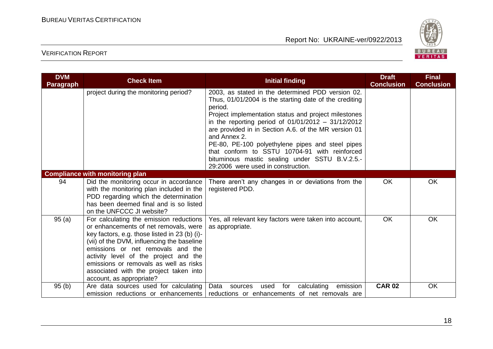

| <b>DVM</b><br><b>Paragraph</b> | <b>Check Item</b>                                                                                                                                                                                                                                                                                                                                                             | <b>Initial finding</b>                                                                                                                                                                                                                                                                                                                                                                                                                                                                                      | <b>Draft</b><br><b>Conclusion</b> | <b>Final</b><br><b>Conclusion</b> |
|--------------------------------|-------------------------------------------------------------------------------------------------------------------------------------------------------------------------------------------------------------------------------------------------------------------------------------------------------------------------------------------------------------------------------|-------------------------------------------------------------------------------------------------------------------------------------------------------------------------------------------------------------------------------------------------------------------------------------------------------------------------------------------------------------------------------------------------------------------------------------------------------------------------------------------------------------|-----------------------------------|-----------------------------------|
|                                | project during the monitoring period?                                                                                                                                                                                                                                                                                                                                         | 2003, as stated in the determined PDD version 02.<br>Thus, 01/01/2004 is the starting date of the crediting<br>period.<br>Project implementation status and project milestones<br>in the reporting period of $01/01/2012 - 31/12/2012$<br>are provided in in Section A.6. of the MR version 01<br>and Annex 2.<br>PE-80, PE-100 polyethylene pipes and steel pipes<br>that conform to SSTU 10704-91 with reinforced<br>bituminous mastic sealing under SSTU B.V.2.5.-<br>29:2006 were used in construction. |                                   |                                   |
|                                | <b>Compliance with monitoring plan</b>                                                                                                                                                                                                                                                                                                                                        |                                                                                                                                                                                                                                                                                                                                                                                                                                                                                                             |                                   |                                   |
| 94                             | Did the monitoring occur in accordance<br>with the monitoring plan included in the<br>PDD regarding which the determination<br>has been deemed final and is so listed<br>on the UNFCCC JI website?                                                                                                                                                                            | There aren't any changes in or deviations from the<br>registered PDD.                                                                                                                                                                                                                                                                                                                                                                                                                                       | OK                                | <b>OK</b>                         |
| 95(a)                          | For calculating the emission reductions<br>or enhancements of net removals, were<br>key factors, e.g. those listed in 23 (b) (i)-<br>(vii) of the DVM, influencing the baseline<br>emissions or net removals and the<br>activity level of the project and the<br>emissions or removals as well as risks<br>associated with the project taken into<br>account, as appropriate? | Yes, all relevant key factors were taken into account,<br>as appropriate.                                                                                                                                                                                                                                                                                                                                                                                                                                   | <b>OK</b>                         | <b>OK</b>                         |
| 95(b)                          | Are data sources used for calculating<br>emission reductions or enhancements                                                                                                                                                                                                                                                                                                  | Data<br>emission<br>used<br>for<br>calculating<br>sources<br>reductions or enhancements of net removals are                                                                                                                                                                                                                                                                                                                                                                                                 | <b>CAR 02</b>                     | OK                                |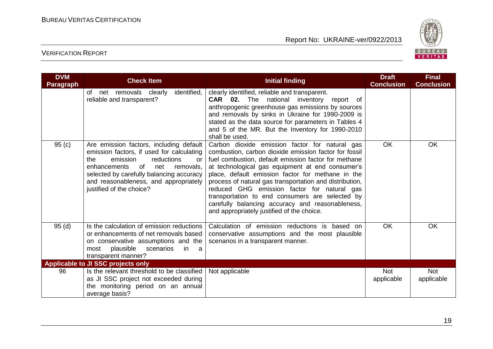

| <b>DVM</b><br><b>Paragraph</b> | <b>Check Item</b>                                                                                                                                                                                                                                                                      | <b>Initial finding</b>                                                                                                                                                                                                                                                                                                                                                                                                                                                                                                                  | <b>Draft</b><br><b>Conclusion</b> | <b>Final</b><br><b>Conclusion</b> |
|--------------------------------|----------------------------------------------------------------------------------------------------------------------------------------------------------------------------------------------------------------------------------------------------------------------------------------|-----------------------------------------------------------------------------------------------------------------------------------------------------------------------------------------------------------------------------------------------------------------------------------------------------------------------------------------------------------------------------------------------------------------------------------------------------------------------------------------------------------------------------------------|-----------------------------------|-----------------------------------|
|                                | net removals clearly<br>identified,<br>of<br>reliable and transparent?                                                                                                                                                                                                                 | clearly identified, reliable and transparent.<br><b>CAR</b> 02. The national inventory<br>report of<br>anthropogenic greenhouse gas emissions by sources<br>and removals by sinks in Ukraine for 1990-2009 is<br>stated as the data source for parameters in Tables 4<br>and 5 of the MR. But the Inventory for 1990-2010<br>shall be used.                                                                                                                                                                                             |                                   |                                   |
| 95(c)                          | Are emission factors, including default<br>emission factors, if used for calculating<br>the<br>emission<br>reductions<br>or<br>enhancements<br>of<br>removals,<br>net<br>selected by carefully balancing accuracy<br>and reasonableness, and appropriately<br>justified of the choice? | Carbon dioxide emission factor for natural gas<br>combustion, carbon dioxide emission factor for fossil<br>fuel combustion, default emission factor for methane<br>at technological gas equipment at end consumer's<br>place, default emission factor for methane in the<br>process of natural gas transportation and distribution,<br>reduced GHG emission factor for natural gas<br>transportation to end consumers are selected by<br>carefully balancing accuracy and reasonableness,<br>and appropriately justified of the choice. | <b>OK</b>                         | <b>OK</b>                         |
| 95(d)                          | Is the calculation of emission reductions<br>or enhancements of net removals based<br>on conservative assumptions and the<br>plausible<br>scenarios<br>most<br>in<br><sub>a</sub><br>transparent manner?                                                                               | Calculation of emission reductions is based on<br>conservative assumptions and the most plausible<br>scenarios in a transparent manner.                                                                                                                                                                                                                                                                                                                                                                                                 | <b>OK</b>                         | OK                                |
|                                | Applicable to JI SSC projects only                                                                                                                                                                                                                                                     |                                                                                                                                                                                                                                                                                                                                                                                                                                                                                                                                         |                                   |                                   |
| 96                             | Is the relevant threshold to be classified<br>as JI SSC project not exceeded during<br>the monitoring period on an annual<br>average basis?                                                                                                                                            | Not applicable                                                                                                                                                                                                                                                                                                                                                                                                                                                                                                                          | <b>Not</b><br>applicable          | <b>Not</b><br>applicable          |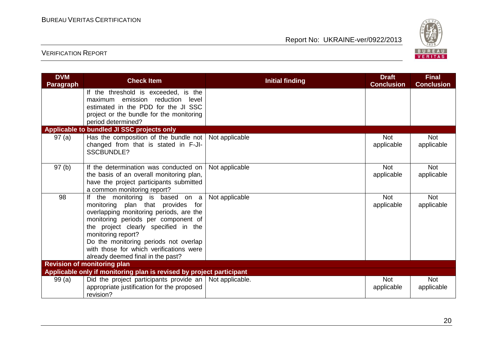

| <b>DVM</b><br><b>Paragraph</b>                                       | <b>Check Item</b>                                                                                                                                                                                                                                                                                                                             | <b>Initial finding</b> | <b>Draft</b><br><b>Conclusion</b> | <b>Final</b><br><b>Conclusion</b> |
|----------------------------------------------------------------------|-----------------------------------------------------------------------------------------------------------------------------------------------------------------------------------------------------------------------------------------------------------------------------------------------------------------------------------------------|------------------------|-----------------------------------|-----------------------------------|
|                                                                      | If the threshold is exceeded, is the<br>emission reduction<br>level<br>maximum<br>estimated in the PDD for the JI SSC<br>project or the bundle for the monitoring<br>period determined?                                                                                                                                                       |                        |                                   |                                   |
|                                                                      | Applicable to bundled JI SSC projects only                                                                                                                                                                                                                                                                                                    |                        |                                   |                                   |
| 97(a)                                                                | Has the composition of the bundle not   Not applicable<br>changed from that is stated in F-JI-<br><b>SSCBUNDLE?</b>                                                                                                                                                                                                                           |                        | <b>Not</b><br>applicable          | <b>Not</b><br>applicable          |
| 97 <sub>(b)</sub>                                                    | If the determination was conducted on<br>the basis of an overall monitoring plan,<br>have the project participants submitted<br>a common monitoring report?                                                                                                                                                                                   | Not applicable         | <b>Not</b><br>applicable          | <b>Not</b><br>applicable          |
| 98                                                                   | If the monitoring is based on a<br>monitoring plan that provides for<br>overlapping monitoring periods, are the<br>monitoring periods per component of<br>the project clearly specified in the<br>monitoring report?<br>Do the monitoring periods not overlap<br>with those for which verifications were<br>already deemed final in the past? | Not applicable         | <b>Not</b><br>applicable          | <b>Not</b><br>applicable          |
|                                                                      | <b>Revision of monitoring plan</b>                                                                                                                                                                                                                                                                                                            |                        |                                   |                                   |
| Applicable only if monitoring plan is revised by project participant |                                                                                                                                                                                                                                                                                                                                               |                        |                                   |                                   |
| 99(a)                                                                | Did the project participants provide an $\vert$ Not applicable.<br>appropriate justification for the proposed<br>revision?                                                                                                                                                                                                                    |                        | <b>Not</b><br>applicable          | <b>Not</b><br>applicable          |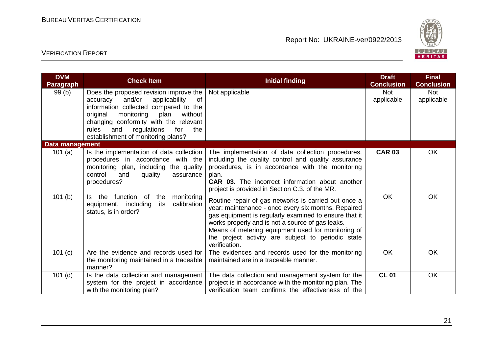

| <b>DVM</b><br>Paragraph   | <b>Check Item</b>                                                                                                                                                                                                                                                                                       | <b>Initial finding</b>                                                                                                                                                                                                                                                                                                                                | <b>Draft</b><br><b>Conclusion</b> | <b>Final</b><br><b>Conclusion</b> |
|---------------------------|---------------------------------------------------------------------------------------------------------------------------------------------------------------------------------------------------------------------------------------------------------------------------------------------------------|-------------------------------------------------------------------------------------------------------------------------------------------------------------------------------------------------------------------------------------------------------------------------------------------------------------------------------------------------------|-----------------------------------|-----------------------------------|
| 99(b)                     | Does the proposed revision improve the  <br>and/or<br>applicability<br>0f<br>accuracy<br>information collected compared to the<br>without<br>original<br>monitoring<br>plan<br>changing conformity with the relevant<br>rules<br>regulations<br>for<br>the<br>and<br>establishment of monitoring plans? | Not applicable                                                                                                                                                                                                                                                                                                                                        | <b>Not</b><br>applicable          | <b>Not</b><br>applicable          |
| Data management<br>101(a) | Is the implementation of data collection<br>procedures in accordance with the<br>monitoring plan, including the quality<br>control<br>and<br>quality<br>assurance<br>procedures?                                                                                                                        | The implementation of data collection procedures,<br>including the quality control and quality assurance<br>procedures, is in accordance with the monitoring<br>plan.<br><b>CAR 03.</b> The incorrect information about another<br>project is provided in Section C.3. of the MR.                                                                     | <b>CAR 03</b>                     | OK                                |
| 101(b)                    | function of<br>monitoring<br>the<br>the<br>ls.<br>calibration<br>equipment, including<br>its<br>status, is in order?                                                                                                                                                                                    | Routine repair of gas networks is carried out once a<br>year; maintenance - once every six months. Repaired<br>gas equipment is regularly examined to ensure that it<br>works properly and is not a source of gas leaks.<br>Means of metering equipment used for monitoring of<br>the project activity are subject to periodic state<br>verification. | <b>OK</b>                         | <b>OK</b>                         |
| 101 (c)                   | Are the evidence and records used for<br>the monitoring maintained in a traceable<br>manner?                                                                                                                                                                                                            | The evidences and records used for the monitoring<br>maintained are in a traceable manner.                                                                                                                                                                                                                                                            | <b>OK</b>                         | <b>OK</b>                         |
| $101$ (d)                 | Is the data collection and management<br>system for the project in accordance<br>with the monitoring plan?                                                                                                                                                                                              | The data collection and management system for the<br>project is in accordance with the monitoring plan. The<br>verification team confirms the effectiveness of the                                                                                                                                                                                    | <b>CL 01</b>                      | OK                                |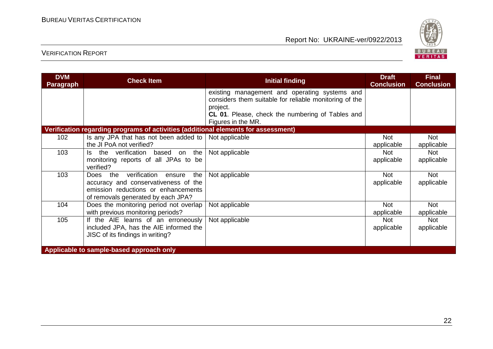

| <b>DVM</b><br><b>Paragraph</b>           | <b>Check Item</b>                                                                                                                                                 | <b>Initial finding</b>                                                                                              | <b>Draft</b><br><b>Conclusion</b> | <b>Final</b><br><b>Conclusion</b> |
|------------------------------------------|-------------------------------------------------------------------------------------------------------------------------------------------------------------------|---------------------------------------------------------------------------------------------------------------------|-----------------------------------|-----------------------------------|
|                                          |                                                                                                                                                                   | existing management and operating systems and<br>considers them suitable for reliable monitoring of the<br>project. |                                   |                                   |
|                                          |                                                                                                                                                                   | CL 01. Please, check the numbering of Tables and<br>Figures in the MR.                                              |                                   |                                   |
|                                          | Verification regarding programs of activities (additional elements for assessment)                                                                                |                                                                                                                     |                                   |                                   |
| 102                                      | Is any JPA that has not been added to<br>the JI PoA not verified?                                                                                                 | Not applicable                                                                                                      | <b>Not</b><br>applicable          | <b>Not</b><br>applicable          |
| 103                                      | the verification<br>the<br>based<br>ls.<br>on<br>monitoring reports of all JPAs to be<br>verified?                                                                | Not applicable                                                                                                      | Not<br>applicable                 | <b>Not</b><br>applicable          |
| 103                                      | verification<br>the<br>the<br>Does<br>ensure<br>accuracy and conservativeness of the<br>emission reductions or enhancements<br>of removals generated by each JPA? | Not applicable                                                                                                      | <b>Not</b><br>applicable          | <b>Not</b><br>applicable          |
| 104                                      | Does the monitoring period not overlap<br>with previous monitoring periods?                                                                                       | Not applicable                                                                                                      | Not<br>applicable                 | <b>Not</b><br>applicable          |
| 105                                      | If the AIE learns of an erroneously<br>included JPA, has the AIE informed the<br>JISC of its findings in writing?                                                 | Not applicable                                                                                                      | <b>Not</b><br>applicable          | <b>Not</b><br>applicable          |
| Applicable to sample-based approach only |                                                                                                                                                                   |                                                                                                                     |                                   |                                   |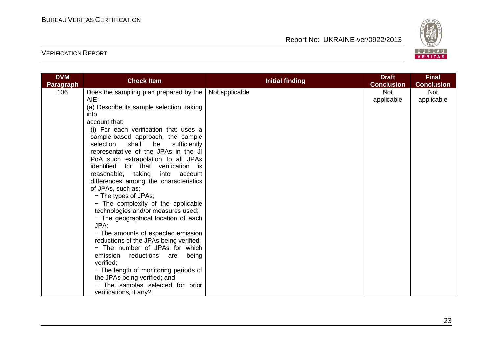

| <b>Initial finding</b>                                   |                          | <b>Final</b>             |
|----------------------------------------------------------|--------------------------|--------------------------|
|                                                          | <b>Conclusion</b>        | <b>Conclusion</b>        |
| Not applicable<br>Does the sampling plan prepared by the | <b>Not</b><br>applicable | <b>Not</b><br>applicable |
|                                                          |                          |                          |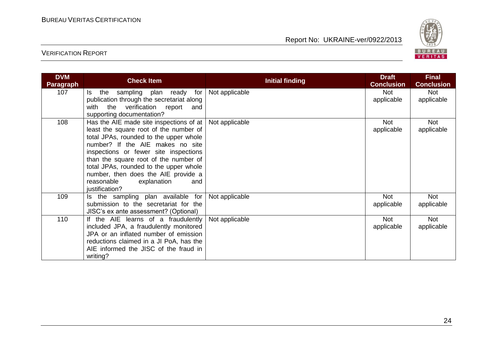

| <b>DVM</b><br><b>Paragraph</b> | <b>Check Item</b>                                                                                                                                                                                                                                                                                                                                                                            | <b>Initial finding</b> | <b>Draft</b><br><b>Conclusion</b> | <b>Final</b><br><b>Conclusion</b> |
|--------------------------------|----------------------------------------------------------------------------------------------------------------------------------------------------------------------------------------------------------------------------------------------------------------------------------------------------------------------------------------------------------------------------------------------|------------------------|-----------------------------------|-----------------------------------|
| 107                            | sampling plan ready for<br>ls l<br>the<br>publication through the secretariat along<br>with<br>the verification report<br>and<br>supporting documentation?                                                                                                                                                                                                                                   | Not applicable         | <b>Not</b><br>applicable          | <b>Not</b><br>applicable          |
| 108                            | Has the AIE made site inspections of at $ $<br>least the square root of the number of<br>total JPAs, rounded to the upper whole<br>number? If the AIE makes no site<br>inspections or fewer site inspections<br>than the square root of the number of<br>total JPAs, rounded to the upper whole<br>number, then does the AIE provide a<br>reasonable<br>explanation<br>and<br>justification? | Not applicable         | <b>Not</b><br>applicable          | <b>Not</b><br>applicable          |
| 109                            | Is the sampling plan available for<br>submission to the secretariat for the<br>JISC's ex ante assessment? (Optional)                                                                                                                                                                                                                                                                         | Not applicable         | <b>Not</b><br>applicable          | Not<br>applicable                 |
| 110                            | If the AIE learns of a fraudulently<br>included JPA, a fraudulently monitored<br>JPA or an inflated number of emission<br>reductions claimed in a JI PoA, has the<br>AIE informed the JISC of the fraud in<br>writing?                                                                                                                                                                       | Not applicable         | <b>Not</b><br>applicable          | <b>Not</b><br>applicable          |